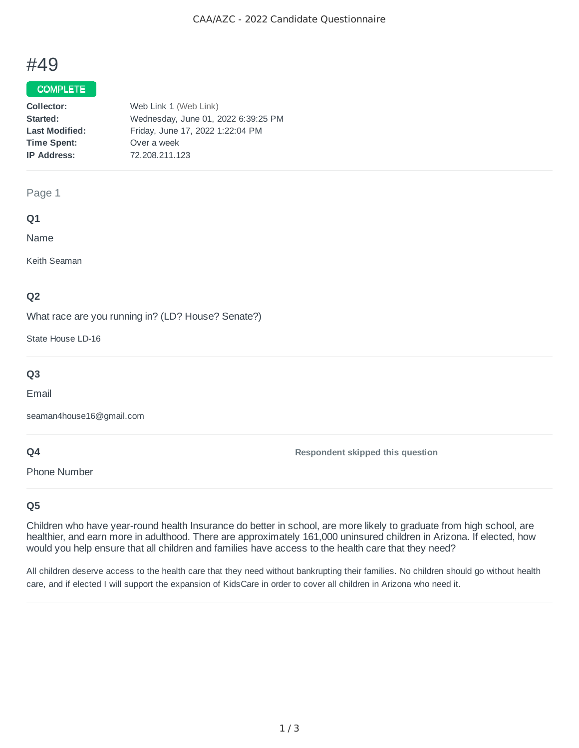# #49

## COMPLETE

| Collector:            | Web Link 1 (Web Link)               |
|-----------------------|-------------------------------------|
| Started:              | Wednesday, June 01, 2022 6:39:25 PM |
| <b>Last Modified:</b> | Friday, June 17, 2022 1:22:04 PM    |
| <b>Time Spent:</b>    | Over a week                         |
| <b>IP Address:</b>    | 72.208.211.123                      |
|                       |                                     |

#### Page 1

## **Q1**

Name

Keith Seaman

## **Q2**

What race are you running in? (LD? House? Senate?)

State House LD-16

## **Q3**

Email

seaman4house16@gmail.com

## **Q4**

Phone Number

**Respondent skipped this question**

## **Q5**

Children who have year-round health Insurance do better in school, are more likely to graduate from high school, are healthier, and earn more in adulthood. There are approximately 161,000 uninsured children in Arizona. If elected, how would you help ensure that all children and families have access to the health care that they need?

All children deserve access to the health care that they need without bankrupting their families. No children should go without health care, and if elected I will support the expansion of KidsCare in order to cover all children in Arizona who need it.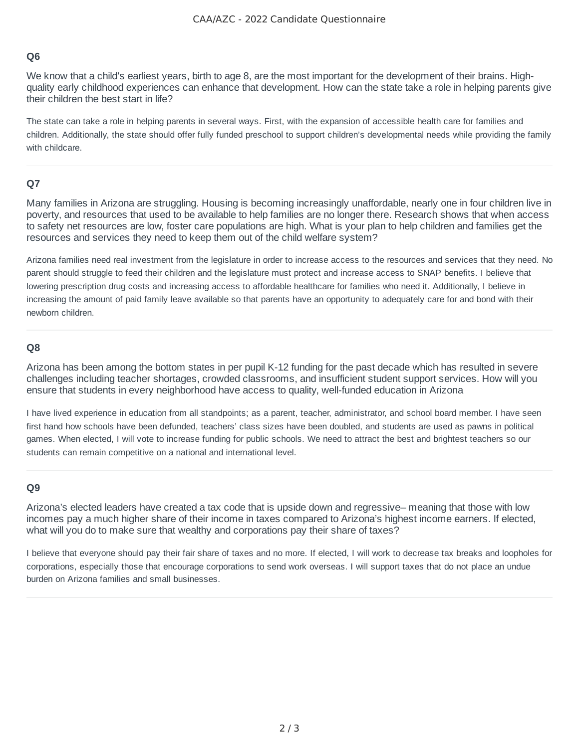## **Q6**

We know that a child's earliest years, birth to age 8, are the most important for the development of their brains. Highquality early childhood experiences can enhance that development. How can the state take a role in helping parents give their children the best start in life?

The state can take a role in helping parents in several ways. First, with the expansion of accessible health care for families and children. Additionally, the state should offer fully funded preschool to support children's developmental needs while providing the family with childcare.

## **Q7**

Many families in Arizona are struggling. Housing is becoming increasingly unaffordable, nearly one in four children live in poverty, and resources that used to be available to help families are no longer there. Research shows that when access to safety net resources are low, foster care populations are high. What is your plan to help children and families get the resources and services they need to keep them out of the child welfare system?

Arizona families need real investment from the legislature in order to increase access to the resources and services that they need. No parent should struggle to feed their children and the legislature must protect and increase access to SNAP benefits. I believe that lowering prescription drug costs and increasing access to affordable healthcare for families who need it. Additionally, I believe in increasing the amount of paid family leave available so that parents have an opportunity to adequately care for and bond with their newborn children.

## **Q8**

Arizona has been among the bottom states in per pupil K-12 funding for the past decade which has resulted in severe challenges including teacher shortages, crowded classrooms, and insufficient student support services. How will you ensure that students in every neighborhood have access to quality, well-funded education in Arizona

I have lived experience in education from all standpoints; as a parent, teacher, administrator, and school board member. I have seen first hand how schools have been defunded, teachers' class sizes have been doubled, and students are used as pawns in political games. When elected, I will vote to increase funding for public schools. We need to attract the best and brightest teachers so our students can remain competitive on a national and international level.

## **Q9**

Arizona's elected leaders have created a tax code that is upside down and regressive– meaning that those with low incomes pay a much higher share of their income in taxes compared to Arizona's highest income earners. If elected, what will you do to make sure that wealthy and corporations pay their share of taxes?

I believe that everyone should pay their fair share of taxes and no more. If elected, I will work to decrease tax breaks and loopholes for corporations, especially those that encourage corporations to send work overseas. I will support taxes that do not place an undue burden on Arizona families and small businesses.